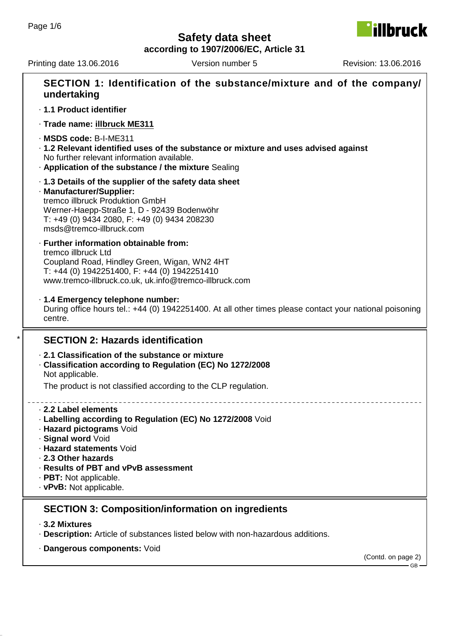**illbruck** 

**according to 1907/2006/EC, Article 31**

Printing date 13.06.2016 Version number 5 Revision: 13.06.2016

| undertaking                                                                                                                                                                                                                                                                      | SECTION 1: Identification of the substance/mixture and of the company/                                  |                    |
|----------------------------------------------------------------------------------------------------------------------------------------------------------------------------------------------------------------------------------------------------------------------------------|---------------------------------------------------------------------------------------------------------|--------------------|
| · 1.1 Product identifier                                                                                                                                                                                                                                                         |                                                                                                         |                    |
| · Trade name: illbruck ME311                                                                                                                                                                                                                                                     |                                                                                                         |                    |
| $\cdot$ MSDS code: B-I-ME311<br>No further relevant information available.<br>. Application of the substance / the mixture Sealing                                                                                                                                               | 1.2 Relevant identified uses of the substance or mixture and uses advised against                       |                    |
| 1.3 Details of the supplier of the safety data sheet<br>· Manufacturer/Supplier:<br>tremco illbruck Produktion GmbH<br>Werner-Haepp-Straße 1, D - 92439 Bodenwöhr<br>T: +49 (0) 9434 2080, F: +49 (0) 9434 208230<br>msds@tremco-illbruck.com                                    |                                                                                                         |                    |
| · Further information obtainable from:<br>tremco illbruck Ltd<br>Coupland Road, Hindley Green, Wigan, WN2 4HT<br>T: +44 (0) 1942251400, F: +44 (0) 1942251410<br>www.tremco-illbruck.co.uk, uk.info@tremco-illbruck.com                                                          |                                                                                                         |                    |
| · 1.4 Emergency telephone number:<br>centre.                                                                                                                                                                                                                                     | During office hours tel.: +44 (0) 1942251400. At all other times please contact your national poisoning |                    |
| <b>SECTION 2: Hazards identification</b>                                                                                                                                                                                                                                         |                                                                                                         |                    |
| 2.1 Classification of the substance or mixture<br>Classification according to Regulation (EC) No 1272/2008<br>Not applicable.                                                                                                                                                    |                                                                                                         |                    |
|                                                                                                                                                                                                                                                                                  | The product is not classified according to the CLP regulation.                                          |                    |
| 2.2 Label elements<br>· Labelling according to Regulation (EC) No 1272/2008 Void<br>· Hazard pictograms Void<br>· Signal word Void<br>· Hazard statements Void<br>2.3 Other hazards<br>· Results of PBT and vPvB assessment<br>· PBT: Not applicable.<br>· vPvB: Not applicable. |                                                                                                         |                    |
|                                                                                                                                                                                                                                                                                  | <b>SECTION 3: Composition/information on ingredients</b>                                                |                    |
| ⋅ 3.2 Mixtures                                                                                                                                                                                                                                                                   | · Description: Article of substances listed below with non-hazardous additions.                         |                    |
| · Dangerous components: Void                                                                                                                                                                                                                                                     |                                                                                                         | (Contd. on page 2) |
|                                                                                                                                                                                                                                                                                  |                                                                                                         |                    |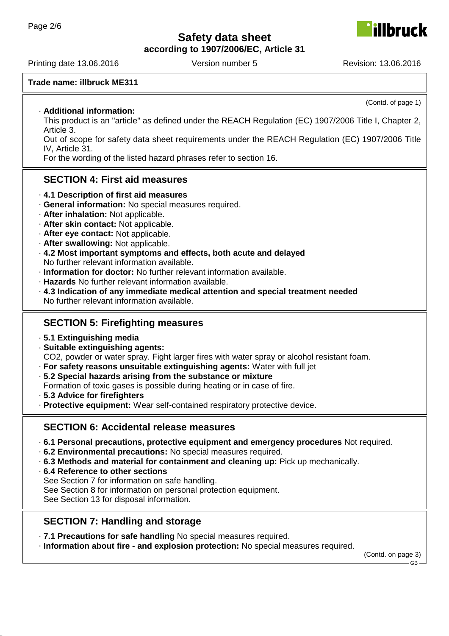**according to 1907/2006/EC, Article 31**

Printing date 13.06.2016 Version number 5 Revision: 13.06.2016

#### **Trade name: illbruck ME311**

#### · **Additional information:**

This product is an "article" as defined under the REACH Regulation (EC) 1907/2006 Title I, Chapter 2, Article 3.

Out of scope for safety data sheet requirements under the REACH Regulation (EC) 1907/2006 Title IV, Article 31.

For the wording of the listed hazard phrases refer to section 16.

#### **SECTION 4: First aid measures**

- · **4.1 Description of first aid measures**
- · **General information:** No special measures required.
- · **After inhalation:** Not applicable.
- · **After skin contact:** Not applicable.
- · **After eye contact:** Not applicable.
- · **After swallowing:** Not applicable.
- · **4.2 Most important symptoms and effects, both acute and delayed** No further relevant information available.
- · **Information for doctor:** No further relevant information available.
- · **Hazards** No further relevant information available.
- · **4.3 Indication of any immediate medical attention and special treatment needed** No further relevant information available.

#### **SECTION 5: Firefighting measures**

- · **5.1 Extinguishing media**
- · **Suitable extinguishing agents:**

CO2, powder or water spray. Fight larger fires with water spray or alcohol resistant foam.

- · **For safety reasons unsuitable extinguishing agents:** Water with full jet
- · **5.2 Special hazards arising from the substance or mixture**
- Formation of toxic gases is possible during heating or in case of fire.
- · **5.3 Advice for firefighters**
- · **Protective equipment:** Wear self-contained respiratory protective device.

#### **SECTION 6: Accidental release measures**

- · **6.1 Personal precautions, protective equipment and emergency procedures** Not required.
- · **6.2 Environmental precautions:** No special measures required.
- · **6.3 Methods and material for containment and cleaning up:** Pick up mechanically.
- · **6.4 Reference to other sections**

See Section 7 for information on safe handling.

See Section 8 for information on personal protection equipment.

See Section 13 for disposal information.

#### **SECTION 7: Handling and storage**

· **7.1 Precautions for safe handling** No special measures required.

· **Information about fire - and explosion protection:** No special measures required.

(Contd. on page 3)



(Contd. of page 1)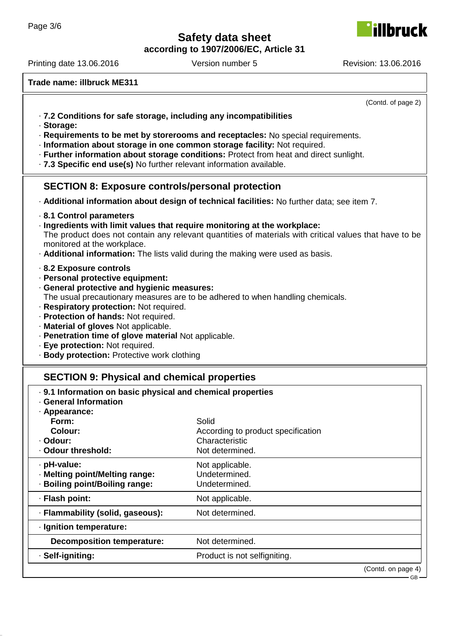**according to 1907/2006/EC, Article 31**

Printing date 13.06.2016 Version number 5 Revision: 13.06.2016

**illbruck** 

**Trade name: illbruck ME311**

|                                                                                                                                                                                                                                                                                                                                                                                                                                                                 | (Contd. of page 2)                                                               |  |
|-----------------------------------------------------------------------------------------------------------------------------------------------------------------------------------------------------------------------------------------------------------------------------------------------------------------------------------------------------------------------------------------------------------------------------------------------------------------|----------------------------------------------------------------------------------|--|
| .7.2 Conditions for safe storage, including any incompatibilities<br>· Storage:<br>· Requirements to be met by storerooms and receptacles: No special requirements.<br>· Information about storage in one common storage facility: Not required.<br>· Further information about storage conditions: Protect from heat and direct sunlight.<br>.7.3 Specific end use(s) No further relevant information available.                                               |                                                                                  |  |
| <b>SECTION 8: Exposure controls/personal protection</b>                                                                                                                                                                                                                                                                                                                                                                                                         |                                                                                  |  |
| - Additional information about design of technical facilities: No further data; see item 7.                                                                                                                                                                                                                                                                                                                                                                     |                                                                                  |  |
| 8.1 Control parameters<br>· Ingredients with limit values that require monitoring at the workplace:<br>The product does not contain any relevant quantities of materials with critical values that have to be<br>monitored at the workplace.<br>. Additional information: The lists valid during the making were used as basis.                                                                                                                                 |                                                                                  |  |
| 8.2 Exposure controls<br>· Personal protective equipment:<br>· General protective and hygienic measures:<br>The usual precautionary measures are to be adhered to when handling chemicals.<br>· Respiratory protection: Not required.<br>· Protection of hands: Not required.<br>· Material of gloves Not applicable.<br>· Penetration time of glove material Not applicable.<br>· Eye protection: Not required.<br>· Body protection: Protective work clothing |                                                                                  |  |
| <b>SECTION 9: Physical and chemical properties</b>                                                                                                                                                                                                                                                                                                                                                                                                              |                                                                                  |  |
| . 9.1 Information on basic physical and chemical properties<br>· General Information<br>· Appearance:<br>Form:<br>Colour:<br>· Odour:<br>Odour threshold:                                                                                                                                                                                                                                                                                                       | Solid<br>According to product specification<br>Characteristic<br>Not determined. |  |
| · pH-value:<br>· Melting point/Melting range:<br>· Boiling point/Boiling range:                                                                                                                                                                                                                                                                                                                                                                                 | Not applicable.<br>Undetermined.<br>Undetermined.                                |  |
| · Flash point:                                                                                                                                                                                                                                                                                                                                                                                                                                                  | Not applicable.                                                                  |  |
| · Flammability (solid, gaseous):                                                                                                                                                                                                                                                                                                                                                                                                                                | Not determined.                                                                  |  |
| · Ignition temperature:                                                                                                                                                                                                                                                                                                                                                                                                                                         |                                                                                  |  |
| <b>Decomposition temperature:</b>                                                                                                                                                                                                                                                                                                                                                                                                                               | Not determined.                                                                  |  |
| · Self-igniting:                                                                                                                                                                                                                                                                                                                                                                                                                                                | Product is not selfigniting.                                                     |  |
|                                                                                                                                                                                                                                                                                                                                                                                                                                                                 | (Contd. on page 4)                                                               |  |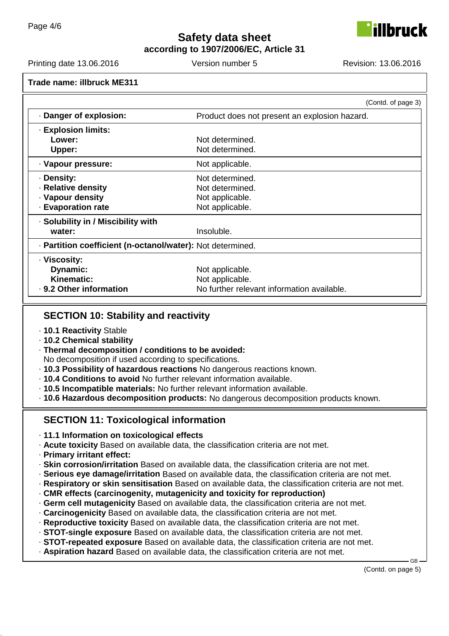

**according to 1907/2006/EC, Article 31**

Printing date 13.06.2016 Version number 5 Revision: 13.06.2016

|                                                            | (Contd. of page 3)                            |  |
|------------------------------------------------------------|-----------------------------------------------|--|
| Danger of explosion:                                       | Product does not present an explosion hazard. |  |
| <b>· Explosion limits:</b>                                 |                                               |  |
| Lower:                                                     | Not determined.                               |  |
| Upper:                                                     | Not determined.                               |  |
| · Vapour pressure:                                         | Not applicable.                               |  |
| · Density:                                                 | Not determined.                               |  |
| · Relative density                                         | Not determined.                               |  |
| · Vapour density                                           | Not applicable.                               |  |
| <b>Evaporation rate</b>                                    | Not applicable.                               |  |
| · Solubility in / Miscibility with                         |                                               |  |
| water:                                                     | Insoluble.                                    |  |
| · Partition coefficient (n-octanol/water): Not determined. |                                               |  |
| · Viscosity:                                               |                                               |  |
| Dynamic:                                                   | Not applicable.                               |  |
| Kinematic:                                                 | Not applicable.                               |  |
| · 9.2 Other information                                    | No further relevant information available.    |  |

#### **SECTION 10: Stability and reactivity**

- · **10.1 Reactivity** Stable
- · **10.2 Chemical stability**
- · **Thermal decomposition / conditions to be avoided:**

No decomposition if used according to specifications.

- · **10.3 Possibility of hazardous reactions** No dangerous reactions known.
- · **10.4 Conditions to avoid** No further relevant information available.
- · **10.5 Incompatible materials:** No further relevant information available.

· **10.6 Hazardous decomposition products:** No dangerous decomposition products known.

# **SECTION 11: Toxicological information**

- · **11.1 Information on toxicological effects**
- · **Acute toxicity** Based on available data, the classification criteria are not met.
- · **Primary irritant effect:**
- · **Skin corrosion/irritation** Based on available data, the classification criteria are not met.
- · **Serious eye damage/irritation** Based on available data, the classification criteria are not met.
- · **Respiratory or skin sensitisation** Based on available data, the classification criteria are not met.
- · **CMR effects (carcinogenity, mutagenicity and toxicity for reproduction)**
- · **Germ cell mutagenicity** Based on available data, the classification criteria are not met.
- · **Carcinogenicity** Based on available data, the classification criteria are not met.
- · **Reproductive toxicity** Based on available data, the classification criteria are not met.
- · **STOT-single exposure** Based on available data, the classification criteria are not met.
- · **STOT-repeated exposure** Based on available data, the classification criteria are not met.
- · **Aspiration hazard** Based on available data, the classification criteria are not met.

GB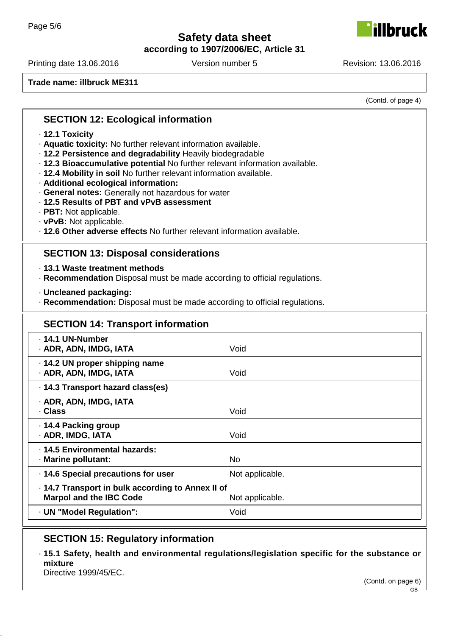**according to 1907/2006/EC, Article 31**

Printing date 13.06.2016 Version number 5 Revision: 13.06.2016

**Trade name: illbruck ME311**

(Contd. of page 4)

lbruck

#### **SECTION 12: Ecological information**

- · **12.1 Toxicity**
- · **Aquatic toxicity:** No further relevant information available.
- · **12.2 Persistence and degradability** Heavily biodegradable
- · **12.3 Bioaccumulative potential** No further relevant information available.
- · **12.4 Mobility in soil** No further relevant information available.
- · **Additional ecological information:**
- · **General notes:** Generally not hazardous for water
- · **12.5 Results of PBT and vPvB assessment**
- · **PBT:** Not applicable.
- · **vPvB:** Not applicable.
- · **12.6 Other adverse effects** No further relevant information available.

### **SECTION 13: Disposal considerations**

· **13.1 Waste treatment methods**

- · **Recommendation** Disposal must be made according to official regulations.
- · **Uncleaned packaging:**
- · **Recommendation:** Disposal must be made according to official regulations.

| <b>SECTION 14: Transport information</b>                                                               |                 |  |
|--------------------------------------------------------------------------------------------------------|-----------------|--|
| · 14.1 UN-Number<br>· ADR, ADN, IMDG, IATA                                                             | Void            |  |
| · 14.2 UN proper shipping name<br>· ADR, ADN, IMDG, IATA                                               | Void            |  |
| · 14.3 Transport hazard class(es)                                                                      |                 |  |
| · ADR, ADN, IMDG, IATA<br>· Class                                                                      | Void            |  |
| ⋅ 14.4 Packing group<br>· ADR, IMDG, IATA                                                              | Void            |  |
| · 14.5 Environmental hazards:<br>· Marine pollutant:                                                   | No.             |  |
| 14.6 Special precautions for user                                                                      | Not applicable. |  |
| . 14.7 Transport in bulk according to Annex II of<br><b>Marpol and the IBC Code</b><br>Not applicable. |                 |  |
| · UN "Model Regulation":                                                                               | Void            |  |

## **SECTION 15: Regulatory information**

· **15.1 Safety, health and environmental regulations/legislation specific for the substance or mixture**

Directive 1999/45/EC.